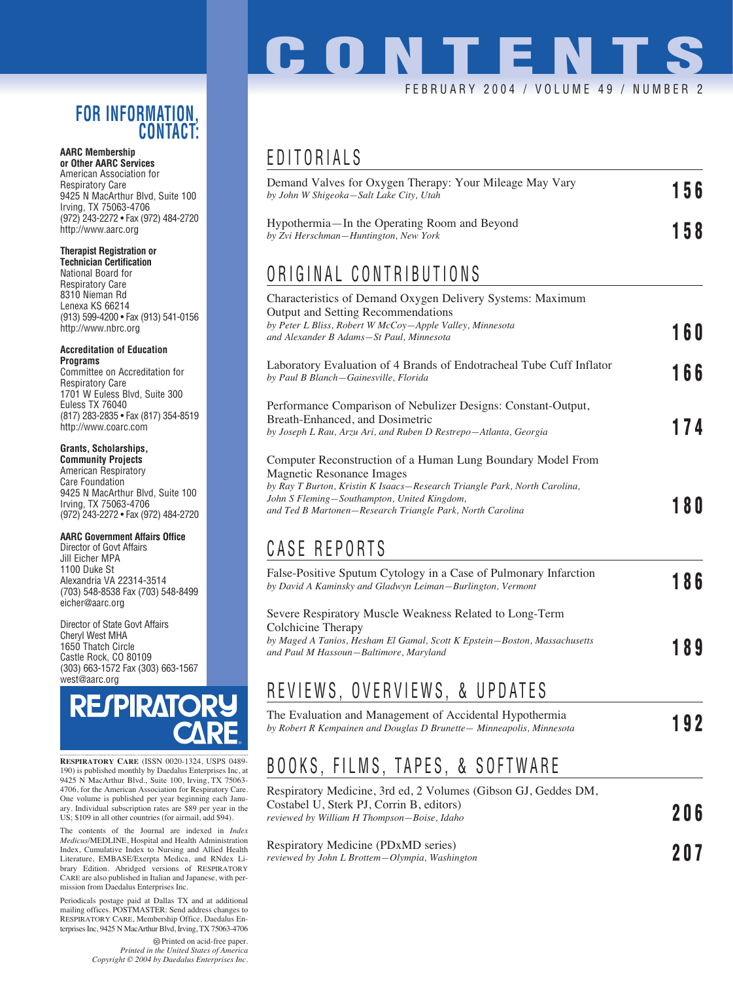### **FOR INFORMATION, CONTACT:**

#### **AARC Membership or Other AARC Services**

American Association for Respiratory Care 9425 N MacArthur Blvd, Suite 100 Irving, TX 75063-4706 (972) 243-2272 • Fax (972) 484-2720 http://www.aarc.org

#### **Therapist Registration or**

**Technician Certification** National Board for Respiratory Care 8310 Nieman Rd Lenexa KS 66214 (913) 599-4200 • Fax (913) 541-0156 http://www.nbrc.org

#### **Accreditation of Education Programs**

Committee on Accreditation for Respiratory Care 1701 W Euless Blvd, Suite 300 Euless TX 76040 (817) 283-2835 • Fax (817) 354-8519 http://www.coarc.com

#### **Grants, Scholarships,**

**Community Projects** American Respiratory Care Foundation 9425 N MacArthur Blvd, Suite 100 Irving, TX 75063-4706 (972) 243-2272 • Fax (972) 484-2720

#### **AARC Government Affairs Office**

Director of Govt Affairs Jill Eicher MPA 1100 Duke St Alexandria VA 22314-3514 (703) 548-8538 Fax (703) 548-8499 eicher@aarc.org

Director of State Govt Affairs Cheryl West MHA 1650 Thatch Circle Castle Rock, CO 80109 (303) 663-1572 Fax (303) 663-1567 west@aarc.org



**RESPIRATORY CARE** (ISSN 0020-1324, USPS 0489- 190) is published monthly by Daedalus Enterprises Inc, at 9425 N MacArthur Blvd., Suite 100, Irving, TX 75063- 4706, for the American Association for Respiratory Care. One volume is published per year beginning each Janu-ary. Individual subscription rates are \$89 per year in the US; \$109 in all other countries (for airmail, add \$94).

The contents of the Journal are indexed in *Index Medicus*/MEDLINE, Hospital and Health Administration Index, Cumulative Index to Nursing and Allied Health Literature, EMBASE/Exerpta Medica, and RNdex Library Edition. Abridged versions of RESPIRATORY CARE are also published in Italian and Japanese, with permission from Daedalus Enterprises Inc.

Periodicals postage paid at Dallas TX and at additional mailing offices. POSTMASTER: Send address changes to RESPIRATORY CARE, Membership Office, Daedalus Enterprises Inc, 9425 N MacArthur Blvd, Irving, TX 75063-4706

> Printed on acid-free paper. *Printed in the United States of America Copyright © 2004 by Daedalus Enterprises Inc.*

# **CONTENT** FEBRUARY 2004 / VOLUME 49 / NUMBE

### EDITORIALS

| Demand Valves for Oxygen Therapy: Your Mileage May Vary<br>by John W Shigeoka-Salt Lake City, Utah                                                                                                       | 156 |  |
|----------------------------------------------------------------------------------------------------------------------------------------------------------------------------------------------------------|-----|--|
| Hypothermia—In the Operating Room and Beyond<br>by Zvi Herschman-Huntington, New York                                                                                                                    | 158 |  |
| ORIGINAL CONTRIBUTIONS                                                                                                                                                                                   |     |  |
| Characteristics of Demand Oxygen Delivery Systems: Maximum<br>Output and Setting Recommendations<br>by Peter L Bliss, Robert W McCoy-Apple Valley, Minnesota<br>and Alexander B Adams-St Paul, Minnesota | 160 |  |
| Laboratory Evaluation of 4 Brands of Endotracheal Tube Cuff Inflator<br>by Paul B Blanch-Gainesville, Florida                                                                                            | 166 |  |
| Performance Comparison of Nebulizer Designs: Constant-Output,<br>Breath-Enhanced, and Dosimetric<br>by Joseph L Rau, Arzu Ari, and Ruben D Restrepo-Atlanta, Georgia                                     | 174 |  |
| Computer Reconstruction of a Human Lung Boundary Model From<br>Magnetic Resonance Images<br>by Ray T Burton, Kristin K Isaacs-Research Triangle Park, North Carolina,                                    |     |  |

## CASE REPORTS

*John S Fleming—Southampton, United Kingdom,*

| False-Positive Sputum Cytology in a Case of Pulmonary Infarction<br>by David A Kaminsky and Gladwyn Leiman–Burlington, Vermont                                                                       | 186 |
|------------------------------------------------------------------------------------------------------------------------------------------------------------------------------------------------------|-----|
| Severe Respiratory Muscle Weakness Related to Long-Term<br>Colchicine Therapy<br>by Maged A Tanios, Hesham El Gamal, Scott K Epstein–Boston, Massachusetts<br>and Paul M Hassoun–Baltimore, Maryland | 189 |

*and Ted B Martonen—Research Triangle Park, North Carolina* **180**

## REVIEWS, OVERVIEWS, & UPDATES

| The Evaluation and Management of Accidental Hypothermia               |     |
|-----------------------------------------------------------------------|-----|
| by Robert R Kempainen and Douglas D Brunette - Minneapolis, Minnesota | 192 |

## BOOKS, FILMS, TAPES, & SOFTWARE

| Respiratory Medicine, 3rd ed, 2 Volumes (Gibson GJ, Geddes DM,<br>Costabel U, Sterk PJ, Corrin B, editors)<br>reviewed by William H Thompson–Boise, Idaho |            |
|-----------------------------------------------------------------------------------------------------------------------------------------------------------|------------|
| Respiratory Medicine (PDxMD series)                                                                                                                       | 206<br>רחמ |

*reviewed by John L Brottem—Olympia, Washington* **207**